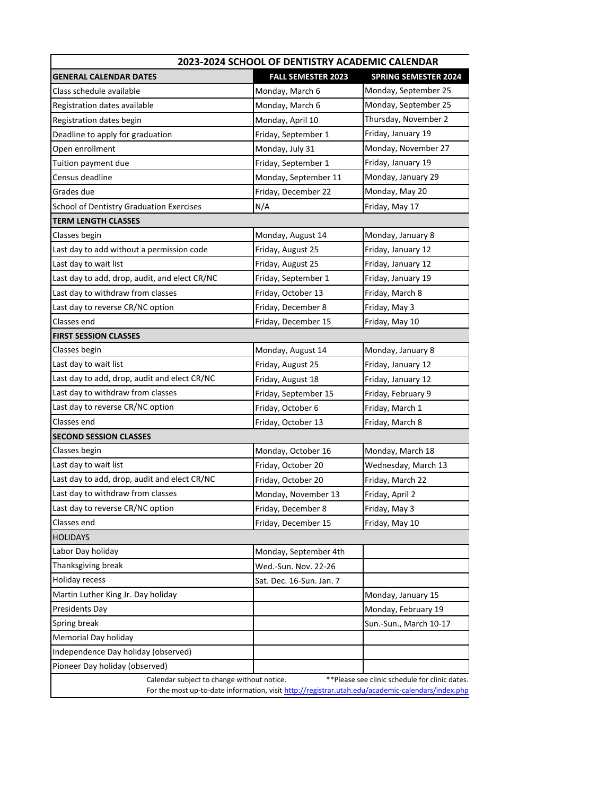| 2023-2024 SCHOOL OF DENTISTRY ACADEMIC CALENDAR                                                                                                                                                    |                           |                             |
|----------------------------------------------------------------------------------------------------------------------------------------------------------------------------------------------------|---------------------------|-----------------------------|
| GENERAL CALENDAR DATES                                                                                                                                                                             | <b>FALL SEMESTER 2023</b> | <b>SPRING SEMESTER 2024</b> |
| Class schedule available                                                                                                                                                                           | Monday, March 6           | Monday, September 25        |
| Registration dates available                                                                                                                                                                       | Monday, March 6           | Monday, September 25        |
| Registration dates begin                                                                                                                                                                           | Monday, April 10          | Thursday, November 2        |
| Deadline to apply for graduation                                                                                                                                                                   | Friday, September 1       | Friday, January 19          |
| Open enrollment                                                                                                                                                                                    | Monday, July 31           | Monday, November 27         |
| Tuition payment due                                                                                                                                                                                | Friday, September 1       | Friday, January 19          |
| Census deadline                                                                                                                                                                                    | Monday, September 11      | Monday, January 29          |
| Grades due                                                                                                                                                                                         | Friday, December 22       | Monday, May 20              |
| School of Dentistry Graduation Exercises                                                                                                                                                           | N/A                       | Friday, May 17              |
| <b>TERM LENGTH CLASSES</b>                                                                                                                                                                         |                           |                             |
| Classes begin                                                                                                                                                                                      | Monday, August 14         | Monday, January 8           |
| Last day to add without a permission code                                                                                                                                                          | Friday, August 25         | Friday, January 12          |
| Last day to wait list                                                                                                                                                                              | Friday, August 25         | Friday, January 12          |
| Last day to add, drop, audit, and elect CR/NC                                                                                                                                                      | Friday, September 1       | Friday, January 19          |
| Last day to withdraw from classes                                                                                                                                                                  | Friday, October 13        | Friday, March 8             |
| Last day to reverse CR/NC option                                                                                                                                                                   | Friday, December 8        | Friday, May 3               |
| Classes end                                                                                                                                                                                        | Friday, December 15       | Friday, May 10              |
| <b>FIRST SESSION CLASSES</b>                                                                                                                                                                       |                           |                             |
| Classes begin                                                                                                                                                                                      | Monday, August 14         | Monday, January 8           |
| Last day to wait list                                                                                                                                                                              | Friday, August 25         | Friday, January 12          |
| Last day to add, drop, audit and elect CR/NC                                                                                                                                                       | Friday, August 18         | Friday, January 12          |
| Last day to withdraw from classes                                                                                                                                                                  | Friday, September 15      | Friday, February 9          |
| Last day to reverse CR/NC option                                                                                                                                                                   | Friday, October 6         | Friday, March 1             |
| Classes end                                                                                                                                                                                        | Friday, October 13        | Friday, March 8             |
| <b>SECOND SESSION CLASSES</b>                                                                                                                                                                      |                           |                             |
| Classes begin                                                                                                                                                                                      | Monday, October 16        | Monday, March 18            |
| Last day to wait list                                                                                                                                                                              | Friday, October 20        | Wednesday, March 13         |
| Last day to add, drop, audit and elect CR/NC                                                                                                                                                       | Friday, October 20        | Friday, March 22            |
| Last day to withdraw from classes                                                                                                                                                                  | Monday, November 13       | Friday, April 2             |
| Last day to reverse CR/NC option                                                                                                                                                                   | Friday, December 8        | Friday, May 3               |
| Classes end                                                                                                                                                                                        | Friday, December 15       | Friday, May 10              |
| <b>HOLIDAYS</b>                                                                                                                                                                                    |                           |                             |
| Labor Day holiday                                                                                                                                                                                  | Monday, September 4th     |                             |
| Thanksgiving break                                                                                                                                                                                 | Wed.-Sun. Nov. 22-26      |                             |
| Holiday recess                                                                                                                                                                                     | Sat. Dec. 16-Sun. Jan. 7  |                             |
| Martin Luther King Jr. Day holiday                                                                                                                                                                 |                           | Monday, January 15          |
| <b>Presidents Day</b>                                                                                                                                                                              |                           | Monday, February 19         |
| Spring break                                                                                                                                                                                       |                           | Sun.-Sun., March 10-17      |
| Memorial Day holiday                                                                                                                                                                               |                           |                             |
| Independence Day holiday (observed)                                                                                                                                                                |                           |                             |
| Pioneer Day holiday (observed)                                                                                                                                                                     |                           |                             |
| ** Please see clinic schedule for clinic dates.<br>Calendar subject to change without notice.<br>For the most up-to-date information, visit http://registrar.utah.edu/academic-calendars/index.php |                           |                             |